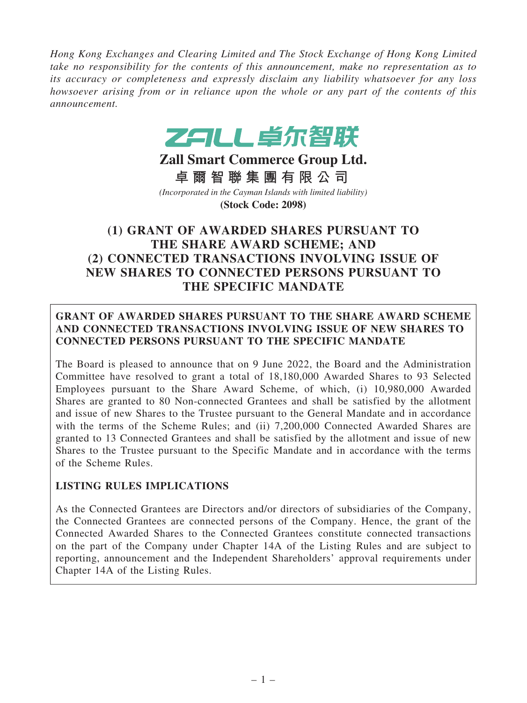*Hong Kong Exchanges and Clearing Limited and The Stock Exchange of Hong Kong Limited take no responsibility for the contents of this announcement, make no representation as to its accuracy or completeness and expressly disclaim any liability whatsoever for any loss howsoever arising from or in reliance upon the whole or any part of the contents of this announcement.*



**Zall Smart Commerce Group Ltd. 卓 爾 智 聯 集 團 有 限 公 司** *(Incorporated in the Cayman Islands with limited liability)* **(Stock Code: 2098)**

# (1) GRANT OF AWARDED SHARES PURSUANT TO THE SHARE AWARD SCHEME; AND (2) CONNECTED TRANSACTIONS INVOLVING ISSUE OF NEW SHARES TO CONNECTED PERSONS PURSUANT TO THE SPECIFIC MANDATE

## GRANT OF AWARDED SHARES PURSUANT TO THE SHARE AWARD SCHEME AND CONNECTED TRANSACTIONS INVOLVING ISSUE OF NEW SHARES TO CONNECTED PERSONS PURSUANT TO THE SPECIFIC MANDATE

The Board is pleased to announce that on 9 June 2022, the Board and the Administration Committee have resolved to grant a total of 18,180,000 Awarded Shares to 93 Selected Employees pursuant to the Share Award Scheme, of which, (i) 10,980,000 Awarded Shares are granted to 80 Non-connected Grantees and shall be satisfied by the allotment and issue of new Shares to the Trustee pursuant to the General Mandate and in accordance with the terms of the Scheme Rules; and (ii) 7,200,000 Connected Awarded Shares are granted to 13 Connected Grantees and shall be satisfied by the allotment and issue of new Shares to the Trustee pursuant to the Specific Mandate and in accordance with the terms of the Scheme Rules.

## LISTING RULES IMPLICATIONS

As the Connected Grantees are Directors and/or directors of subsidiaries of the Company, the Connected Grantees are connected persons of the Company. Hence, the grant of the Connected Awarded Shares to the Connected Grantees constitute connected transactions on the part of the Company under Chapter 14A of the Listing Rules and are subject to reporting, announcement and the Independent Shareholders' approval requirements under Chapter 14A of the Listing Rules.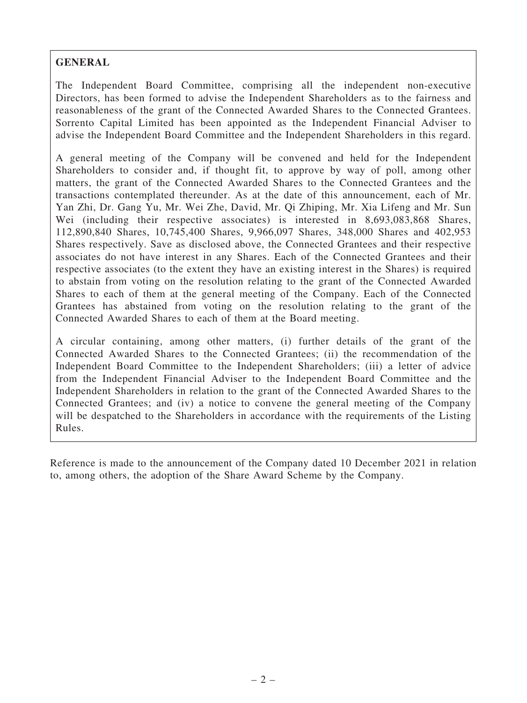## GENERAL

The Independent Board Committee, comprising all the independent non-executive Directors, has been formed to advise the Independent Shareholders as to the fairness and reasonableness of the grant of the Connected Awarded Shares to the Connected Grantees. Sorrento Capital Limited has been appointed as the Independent Financial Adviser to advise the Independent Board Committee and the Independent Shareholders in this regard.

A general meeting of the Company will be convened and held for the Independent Shareholders to consider and, if thought fit, to approve by way of poll, among other matters, the grant of the Connected Awarded Shares to the Connected Grantees and the transactions contemplated thereunder. As at the date of this announcement, each of Mr. Yan Zhi, Dr. Gang Yu, Mr. Wei Zhe, David, Mr. Qi Zhiping, Mr. Xia Lifeng and Mr. Sun Wei (including their respective associates) is interested in 8,693,083,868 Shares, 112,890,840 Shares, 10,745,400 Shares, 9,966,097 Shares, 348,000 Shares and 402,953 Shares respectively. Save as disclosed above, the Connected Grantees and their respective associates do not have interest in any Shares. Each of the Connected Grantees and their respective associates (to the extent they have an existing interest in the Shares) is required to abstain from voting on the resolution relating to the grant of the Connected Awarded Shares to each of them at the general meeting of the Company. Each of the Connected Grantees has abstained from voting on the resolution relating to the grant of the Connected Awarded Shares to each of them at the Board meeting.

A circular containing, among other matters, (i) further details of the grant of the Connected Awarded Shares to the Connected Grantees; (ii) the recommendation of the Independent Board Committee to the Independent Shareholders; (iii) a letter of advice from the Independent Financial Adviser to the Independent Board Committee and the Independent Shareholders in relation to the grant of the Connected Awarded Shares to the Connected Grantees; and (iv) a notice to convene the general meeting of the Company will be despatched to the Shareholders in accordance with the requirements of the Listing Rules.

Reference is made to the announcement of the Company dated 10 December 2021 in relation to, among others, the adoption of the Share Award Scheme by the Company.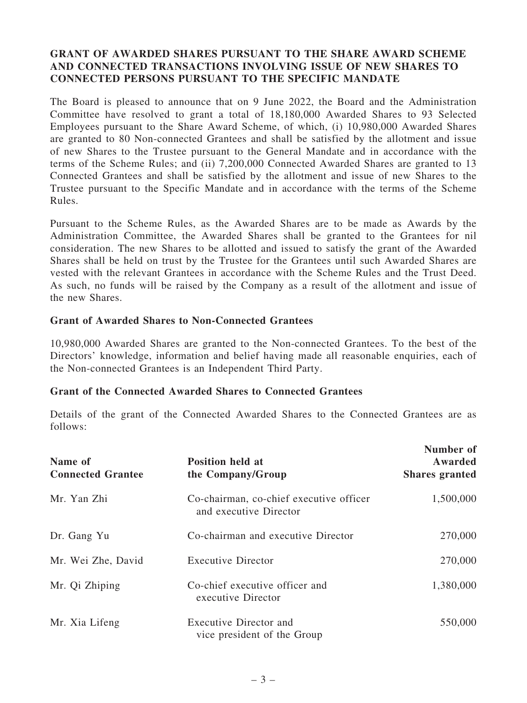## GRANT OF AWARDED SHARES PURSUANT TO THE SHARE AWARD SCHEME AND CONNECTED TRANSACTIONS INVOLVING ISSUE OF NEW SHARES TO CONNECTED PERSONS PURSUANT TO THE SPECIFIC MANDATE

The Board is pleased to announce that on 9 June 2022, the Board and the Administration Committee have resolved to grant a total of 18,180,000 Awarded Shares to 93 Selected Employees pursuant to the Share Award Scheme, of which, (i) 10,980,000 Awarded Shares are granted to 80 Non-connected Grantees and shall be satisfied by the allotment and issue of new Shares to the Trustee pursuant to the General Mandate and in accordance with the terms of the Scheme Rules; and (ii) 7,200,000 Connected Awarded Shares are granted to 13 Connected Grantees and shall be satisfied by the allotment and issue of new Shares to the Trustee pursuant to the Specific Mandate and in accordance with the terms of the Scheme Rules.

Pursuant to the Scheme Rules, as the Awarded Shares are to be made as Awards by the Administration Committee, the Awarded Shares shall be granted to the Grantees for nil consideration. The new Shares to be allotted and issued to satisfy the grant of the Awarded Shares shall be held on trust by the Trustee for the Grantees until such Awarded Shares are vested with the relevant Grantees in accordance with the Scheme Rules and the Trust Deed. As such, no funds will be raised by the Company as a result of the allotment and issue of the new Shares.

#### Grant of Awarded Shares to Non-Connected Grantees

10,980,000 Awarded Shares are granted to the Non-connected Grantees. To the best of the Directors' knowledge, information and belief having made all reasonable enquiries, each of the Non-connected Grantees is an Independent Third Party.

## Grant of the Connected Awarded Shares to Connected Grantees

Details of the grant of the Connected Awarded Shares to the Connected Grantees are as follows:

| Name of<br><b>Connected Grantee</b> | <b>Position held at</b><br>the Company/Group                      | Number of<br>Awarded<br><b>Shares granted</b> |
|-------------------------------------|-------------------------------------------------------------------|-----------------------------------------------|
| Mr. Yan Zhi                         | Co-chairman, co-chief executive officer<br>and executive Director | 1,500,000                                     |
| Dr. Gang Yu                         | Co-chairman and executive Director                                | 270,000                                       |
| Mr. Wei Zhe, David                  | <b>Executive Director</b>                                         | 270,000                                       |
| Mr. Qi Zhiping                      | Co-chief executive officer and<br>executive Director              | 1,380,000                                     |
| Mr. Xia Lifeng                      | Executive Director and<br>vice president of the Group             | 550,000                                       |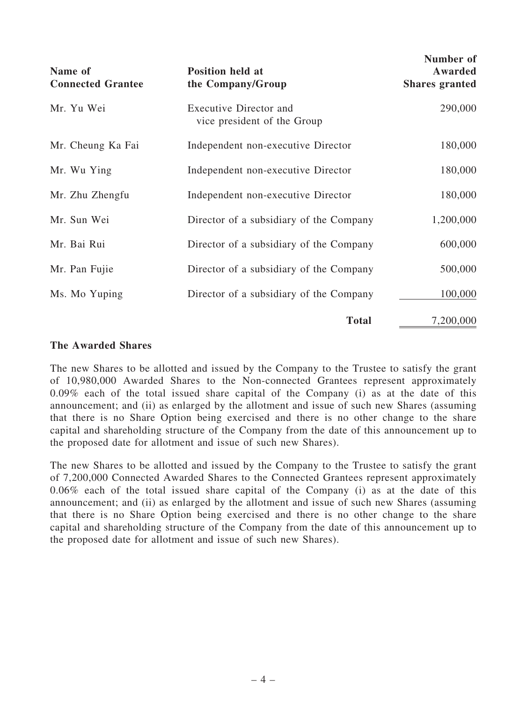| Name of<br><b>Connected Grantee</b> | <b>Position held at</b><br>the Company/Group          | Number of<br>Awarded<br><b>Shares granted</b> |
|-------------------------------------|-------------------------------------------------------|-----------------------------------------------|
| Mr. Yu Wei                          | Executive Director and<br>vice president of the Group | 290,000                                       |
| Mr. Cheung Ka Fai                   | Independent non-executive Director                    | 180,000                                       |
| Mr. Wu Ying                         | Independent non-executive Director                    | 180,000                                       |
| Mr. Zhu Zhengfu                     | Independent non-executive Director                    | 180,000                                       |
| Mr. Sun Wei                         | Director of a subsidiary of the Company               | 1,200,000                                     |
| Mr. Bai Rui                         | Director of a subsidiary of the Company               | 600,000                                       |
| Mr. Pan Fujie                       | Director of a subsidiary of the Company               | 500,000                                       |
| Ms. Mo Yuping                       | Director of a subsidiary of the Company               | 100,000                                       |
|                                     | <b>Total</b>                                          | 7,200,000                                     |

#### The Awarded Shares

The new Shares to be allotted and issued by the Company to the Trustee to satisfy the grant of 10,980,000 Awarded Shares to the Non-connected Grantees represent approximately 0.09% each of the total issued share capital of the Company (i) as at the date of this announcement; and (ii) as enlarged by the allotment and issue of such new Shares (assuming that there is no Share Option being exercised and there is no other change to the share capital and shareholding structure of the Company from the date of this announcement up to the proposed date for allotment and issue of such new Shares).

The new Shares to be allotted and issued by the Company to the Trustee to satisfy the grant of 7,200,000 Connected Awarded Shares to the Connected Grantees represent approximately 0.06% each of the total issued share capital of the Company (i) as at the date of this announcement; and (ii) as enlarged by the allotment and issue of such new Shares (assuming that there is no Share Option being exercised and there is no other change to the share capital and shareholding structure of the Company from the date of this announcement up to the proposed date for allotment and issue of such new Shares).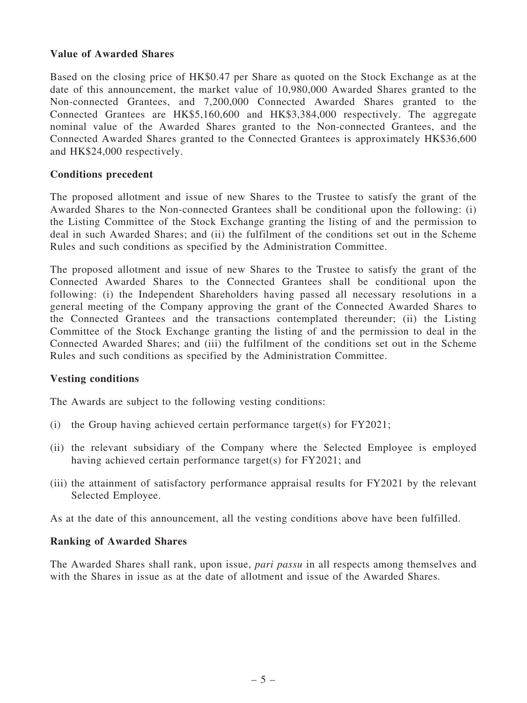#### Value of Awarded Shares

Based on the closing price of HK\$0.47 per Share as quoted on the Stock Exchange as at the date of this announcement, the market value of 10,980,000 Awarded Shares granted to the Non-connected Grantees, and 7,200,000 Connected Awarded Shares granted to the Connected Grantees are HK\$5,160,600 and HK\$3,384,000 respectively. The aggregate nominal value of the Awarded Shares granted to the Non-connected Grantees, and the Connected Awarded Shares granted to the Connected Grantees is approximately HK\$36,600 and HK\$24,000 respectively.

#### Conditions precedent

The proposed allotment and issue of new Shares to the Trustee to satisfy the grant of the Awarded Shares to the Non-connected Grantees shall be conditional upon the following: (i) the Listing Committee of the Stock Exchange granting the listing of and the permission to deal in such Awarded Shares; and (ii) the fulfilment of the conditions set out in the Scheme Rules and such conditions as specified by the Administration Committee.

The proposed allotment and issue of new Shares to the Trustee to satisfy the grant of the Connected Awarded Shares to the Connected Grantees shall be conditional upon the following: (i) the Independent Shareholders having passed all necessary resolutions in a general meeting of the Company approving the grant of the Connected Awarded Shares to the Connected Grantees and the transactions contemplated thereunder; (ii) the Listing Committee of the Stock Exchange granting the listing of and the permission to deal in the Connected Awarded Shares; and (iii) the fulfilment of the conditions set out in the Scheme Rules and such conditions as specified by the Administration Committee.

#### Vesting conditions

The Awards are subject to the following vesting conditions:

- (i) the Group having achieved certain performance target(s) for  $FY2021$ ;
- (ii) the relevant subsidiary of the Company where the Selected Employee is employed having achieved certain performance target(s) for FY2021; and
- (iii) the attainment of satisfactory performance appraisal results for FY2021 by the relevant Selected Employee.

As at the date of this announcement, all the vesting conditions above have been fulfilled.

#### Ranking of Awarded Shares

The Awarded Shares shall rank, upon issue, *pari passu* in all respects among themselves and with the Shares in issue as at the date of allotment and issue of the Awarded Shares.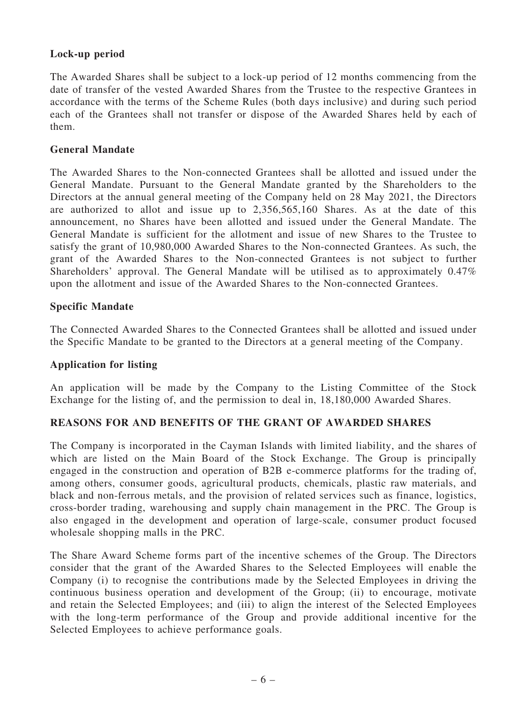## Lock-up period

The Awarded Shares shall be subject to a lock-up period of 12 months commencing from the date of transfer of the vested Awarded Shares from the Trustee to the respective Grantees in accordance with the terms of the Scheme Rules (both days inclusive) and during such period each of the Grantees shall not transfer or dispose of the Awarded Shares held by each of them.

#### General Mandate

The Awarded Shares to the Non-connected Grantees shall be allotted and issued under the General Mandate. Pursuant to the General Mandate granted by the Shareholders to the Directors at the annual general meeting of the Company held on 28 May 2021, the Directors are authorized to allot and issue up to 2,356,565,160 Shares. As at the date of this announcement, no Shares have been allotted and issued under the General Mandate. The General Mandate is sufficient for the allotment and issue of new Shares to the Trustee to satisfy the grant of 10,980,000 Awarded Shares to the Non-connected Grantees. As such, the grant of the Awarded Shares to the Non-connected Grantees is not subject to further Shareholders' approval. The General Mandate will be utilised as to approximately 0.47% upon the allotment and issue of the Awarded Shares to the Non-connected Grantees.

#### Specific Mandate

The Connected Awarded Shares to the Connected Grantees shall be allotted and issued under the Specific Mandate to be granted to the Directors at a general meeting of the Company.

#### Application for listing

An application will be made by the Company to the Listing Committee of the Stock Exchange for the listing of, and the permission to deal in, 18,180,000 Awarded Shares.

## REASONS FOR AND BENEFITS OF THE GRANT OF AWARDED SHARES

The Company is incorporated in the Cayman Islands with limited liability, and the shares of which are listed on the Main Board of the Stock Exchange. The Group is principally engaged in the construction and operation of B2B e-commerce platforms for the trading of, among others, consumer goods, agricultural products, chemicals, plastic raw materials, and black and non-ferrous metals, and the provision of related services such as finance, logistics, cross-border trading, warehousing and supply chain management in the PRC. The Group is also engaged in the development and operation of large-scale, consumer product focused wholesale shopping malls in the PRC.

The Share Award Scheme forms part of the incentive schemes of the Group. The Directors consider that the grant of the Awarded Shares to the Selected Employees will enable the Company (i) to recognise the contributions made by the Selected Employees in driving the continuous business operation and development of the Group; (ii) to encourage, motivate and retain the Selected Employees; and (iii) to align the interest of the Selected Employees with the long-term performance of the Group and provide additional incentive for the Selected Employees to achieve performance goals.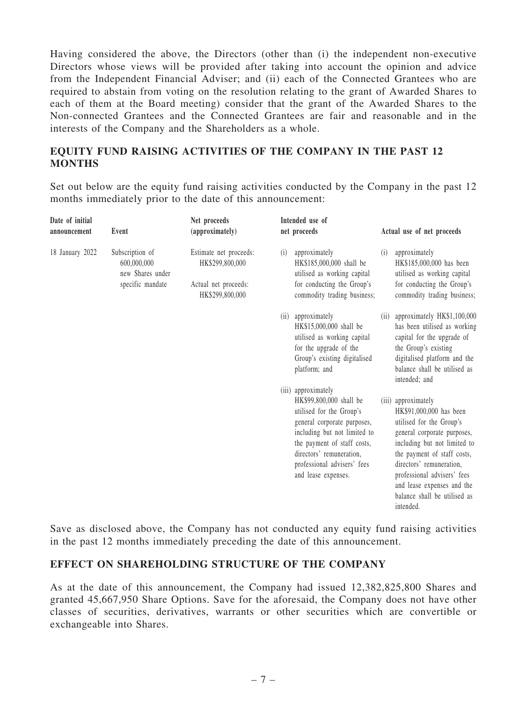Having considered the above, the Directors (other than (i) the independent non-executive Directors whose views will be provided after taking into account the opinion and advice from the Independent Financial Adviser; and (ii) each of the Connected Grantees who are required to abstain from voting on the resolution relating to the grant of Awarded Shares to each of them at the Board meeting) consider that the grant of the Awarded Shares to the Non-connected Grantees and the Connected Grantees are fair and reasonable and in the interests of the Company and the Shareholders as a whole.

## EQUITY FUND RAISING ACTIVITIES OF THE COMPANY IN THE PAST 12 MONTHS

Set out below are the equity fund raising activities conducted by the Company in the past 12 months immediately prior to the date of this announcement:

| Date of initial<br>announcement | Event                                                                  | Net proceeds<br>(approximately)                                                      | Intended use of<br>net proceeds                                                                                                                                                                                                                            | Actual use of net proceeds                                                                                                                                                                                                                                                                                     |
|---------------------------------|------------------------------------------------------------------------|--------------------------------------------------------------------------------------|------------------------------------------------------------------------------------------------------------------------------------------------------------------------------------------------------------------------------------------------------------|----------------------------------------------------------------------------------------------------------------------------------------------------------------------------------------------------------------------------------------------------------------------------------------------------------------|
| 18 January 2022                 | Subscription of<br>600,000,000<br>new Shares under<br>specific mandate | Estimate net proceeds:<br>HK\$299,800,000<br>Actual net proceeds:<br>HK\$299,800,000 | approximately<br>(i)<br>HK\$185,000,000 shall be<br>utilised as working capital<br>for conducting the Group's<br>commodity trading business;                                                                                                               | approximately<br>(i)<br>HK\$185,000,000 has been<br>utilised as working capital<br>for conducting the Group's<br>commodity trading business;                                                                                                                                                                   |
|                                 |                                                                        |                                                                                      | approximately<br>(i)<br>HK\$15,000,000 shall be<br>utilised as working capital<br>for the upgrade of the<br>Group's existing digitalised<br>platform; and                                                                                                  | approximately HK\$1,100,000<br>(i)<br>has been utilised as working<br>capital for the upgrade of<br>the Group's existing<br>digitalised platform and the<br>balance shall be utilised as<br>intended; and                                                                                                      |
|                                 |                                                                        |                                                                                      | (iii) approximately<br>HK\$99,800,000 shall be<br>utilised for the Group's<br>general corporate purposes,<br>including but not limited to<br>the payment of staff costs,<br>directors' remuneration,<br>professional advisers' fees<br>and lease expenses. | (iii) approximately<br>HK\$91,000,000 has been<br>utilised for the Group's<br>general corporate purposes,<br>including but not limited to<br>the payment of staff costs,<br>directors' remuneration,<br>professional advisers' fees<br>and lease expenses and the<br>balance shall be utilised as<br>intended. |

Save as disclosed above, the Company has not conducted any equity fund raising activities in the past 12 months immediately preceding the date of this announcement.

## EFFECT ON SHAREHOLDING STRUCTURE OF THE COMPANY

As at the date of this announcement, the Company had issued 12,382,825,800 Shares and granted 45,667,950 Share Options. Save for the aforesaid, the Company does not have other classes of securities, derivatives, warrants or other securities which are convertible or exchangeable into Shares.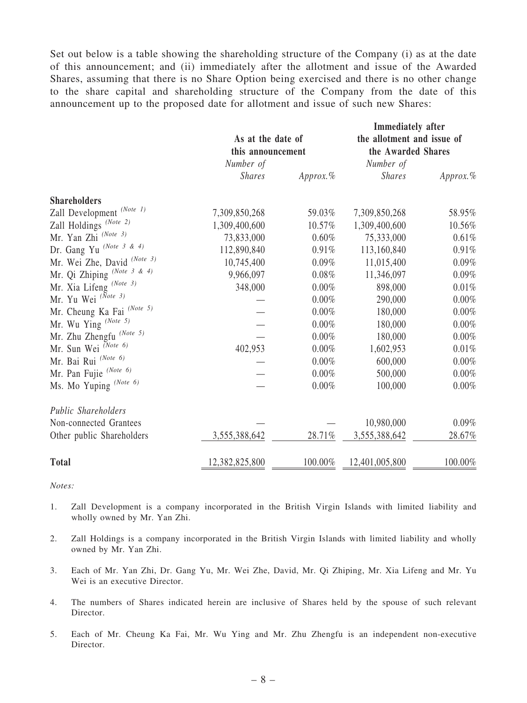Set out below is a table showing the shareholding structure of the Company (i) as at the date of this announcement; and (ii) immediately after the allotment and issue of the Awarded Shares, assuming that there is no Share Option being exercised and there is no other change to the share capital and shareholding structure of the Company from the date of this announcement up to the proposed date for allotment and issue of such new Shares:

|                                      | As at the date of<br>this announcement |            | Immediately after<br>the allotment and issue of<br>the Awarded Shares |           |
|--------------------------------------|----------------------------------------|------------|-----------------------------------------------------------------------|-----------|
|                                      | Number of                              |            | Number of                                                             |           |
|                                      | <b>Shares</b>                          | Approx. %  | <b>Shares</b>                                                         | Approx. % |
| <b>Shareholders</b>                  |                                        |            |                                                                       |           |
| Zall Development <sup>(Note 1)</sup> | 7,309,850,268                          | 59.03%     | 7,309,850,268                                                         | 58.95%    |
| Zall Holdings <sup>(Note 2)</sup>    | 1,309,400,600                          | 10.57%     | 1,309,400,600                                                         | 10.56%    |
| Mr. Yan Zhi (Note 3)                 | 73,833,000                             | 0.60%      | 75,333,000                                                            | 0.61%     |
| Dr. Gang Yu (Note 3 & 4)             | 112,890,840                            | 0.91%      | 113,160,840                                                           | 0.91%     |
| Mr. Wei Zhe, David (Note 3)          | 10,745,400                             | 0.09%      | 11,015,400                                                            | 0.09%     |
| Mr. Qi Zhiping (Note 3 & 4)          | 9,966,097                              | 0.08%      | 11,346,097                                                            | 0.09%     |
| Mr. Xia Lifeng (Note 3)              | 348,000                                | 0.00%      | 898,000                                                               | 0.01%     |
| Mr. Yu Wei <sup>(Note 3)</sup>       |                                        | 0.00%      | 290,000                                                               | $0.00\%$  |
| Mr. Cheung Ka Fai (Note 5)           |                                        | $0.00\%$   | 180,000                                                               | $0.00\%$  |
| Mr. Wu Ying (Note 5)                 |                                        | 0.00%      | 180,000                                                               | 0.00%     |
| Mr. Zhu Zhengfu <sup>(Note 5)</sup>  |                                        | 0.00%      | 180,000                                                               | 0.00%     |
| Mr. Sun Wei <sup>(Note 6)</sup>      | 402,953                                | 0.00%      | 1,602,953                                                             | 0.01%     |
| Mr. Bai Rui (Note 6)                 |                                        | 0.00%      | 600,000                                                               | 0.00%     |
| Mr. Pan Fujie (Note 6)               |                                        | 0.00%      | 500,000                                                               | 0.00%     |
| Ms. Mo Yuping (Note 6)               |                                        | 0.00%      | 100,000                                                               | 0.00%     |
| Public Shareholders                  |                                        |            |                                                                       |           |
| Non-connected Grantees               |                                        |            | 10,980,000                                                            | 0.09%     |
| Other public Shareholders            | 3,555,388,642                          | 28.71%     | 3,555,388,642                                                         | 28.67%    |
| <b>Total</b>                         | 12,382,825,800                         | $100.00\%$ | 12,401,005,800                                                        | 100.00%   |

*Notes:*

- 1. Zall Development is a company incorporated in the British Virgin Islands with limited liability and wholly owned by Mr. Yan Zhi.
- 2. Zall Holdings is a company incorporated in the British Virgin Islands with limited liability and wholly owned by Mr. Yan Zhi.
- 3. Each of Mr. Yan Zhi, Dr. Gang Yu, Mr. Wei Zhe, David, Mr. Qi Zhiping, Mr. Xia Lifeng and Mr. Yu Wei is an executive Director.
- 4. The numbers of Shares indicated herein are inclusive of Shares held by the spouse of such relevant Director.
- 5. Each of Mr. Cheung Ka Fai, Mr. Wu Ying and Mr. Zhu Zhengfu is an independent non-executive Director.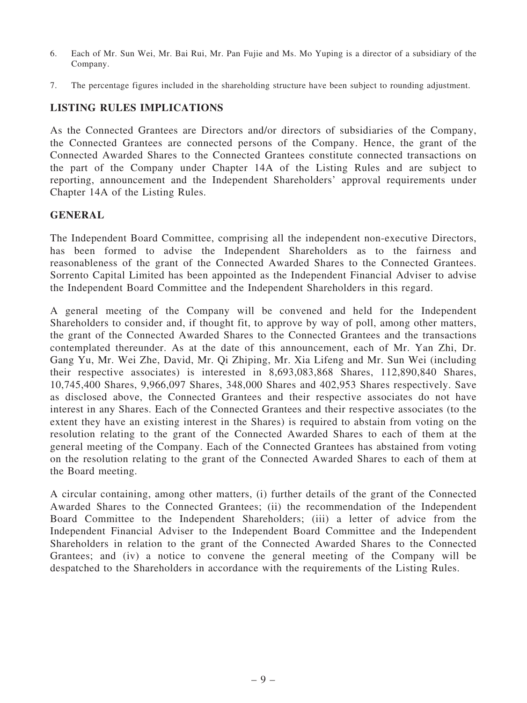- 6. Each of Mr. Sun Wei, Mr. Bai Rui, Mr. Pan Fujie and Ms. Mo Yuping is a director of a subsidiary of the Company.
- 7. The percentage figures included in the shareholding structure have been subject to rounding adjustment.

## LISTING RULES IMPLICATIONS

As the Connected Grantees are Directors and/or directors of subsidiaries of the Company, the Connected Grantees are connected persons of the Company. Hence, the grant of the Connected Awarded Shares to the Connected Grantees constitute connected transactions on the part of the Company under Chapter 14A of the Listing Rules and are subject to reporting, announcement and the Independent Shareholders' approval requirements under Chapter 14A of the Listing Rules.

#### GENERAL

The Independent Board Committee, comprising all the independent non-executive Directors, has been formed to advise the Independent Shareholders as to the fairness and reasonableness of the grant of the Connected Awarded Shares to the Connected Grantees. Sorrento Capital Limited has been appointed as the Independent Financial Adviser to advise the Independent Board Committee and the Independent Shareholders in this regard.

A general meeting of the Company will be convened and held for the Independent Shareholders to consider and, if thought fit, to approve by way of poll, among other matters, the grant of the Connected Awarded Shares to the Connected Grantees and the transactions contemplated thereunder. As at the date of this announcement, each of Mr. Yan Zhi, Dr. Gang Yu, Mr. Wei Zhe, David, Mr. Qi Zhiping, Mr. Xia Lifeng and Mr. Sun Wei (including their respective associates) is interested in 8,693,083,868 Shares, 112,890,840 Shares, 10,745,400 Shares, 9,966,097 Shares, 348,000 Shares and 402,953 Shares respectively. Save as disclosed above, the Connected Grantees and their respective associates do not have interest in any Shares. Each of the Connected Grantees and their respective associates (to the extent they have an existing interest in the Shares) is required to abstain from voting on the resolution relating to the grant of the Connected Awarded Shares to each of them at the general meeting of the Company. Each of the Connected Grantees has abstained from voting on the resolution relating to the grant of the Connected Awarded Shares to each of them at the Board meeting.

A circular containing, among other matters, (i) further details of the grant of the Connected Awarded Shares to the Connected Grantees; (ii) the recommendation of the Independent Board Committee to the Independent Shareholders; (iii) a letter of advice from the Independent Financial Adviser to the Independent Board Committee and the Independent Shareholders in relation to the grant of the Connected Awarded Shares to the Connected Grantees; and (iv) a notice to convene the general meeting of the Company will be despatched to the Shareholders in accordance with the requirements of the Listing Rules.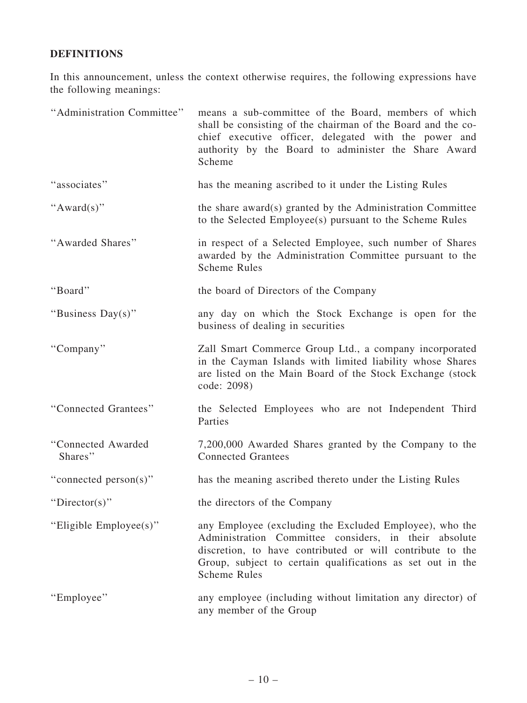## DEFINITIONS

In this announcement, unless the context otherwise requires, the following expressions have the following meanings:

| "Administration Committee"    | means a sub-committee of the Board, members of which<br>shall be consisting of the chairman of the Board and the co-<br>chief executive officer, delegated with the power and<br>authority by the Board to administer the Share Award<br>Scheme                    |
|-------------------------------|--------------------------------------------------------------------------------------------------------------------------------------------------------------------------------------------------------------------------------------------------------------------|
| "associates"                  | has the meaning ascribed to it under the Listing Rules                                                                                                                                                                                                             |
| " $Award(s)$ "                | the share award(s) granted by the Administration Committee<br>to the Selected Employee(s) pursuant to the Scheme Rules                                                                                                                                             |
| "Awarded Shares"              | in respect of a Selected Employee, such number of Shares<br>awarded by the Administration Committee pursuant to the<br><b>Scheme Rules</b>                                                                                                                         |
| "Board"                       | the board of Directors of the Company                                                                                                                                                                                                                              |
| "Business Day(s)"             | any day on which the Stock Exchange is open for the<br>business of dealing in securities                                                                                                                                                                           |
| "Company"                     | Zall Smart Commerce Group Ltd., a company incorporated<br>in the Cayman Islands with limited liability whose Shares<br>are listed on the Main Board of the Stock Exchange (stock<br>code: 2098)                                                                    |
| "Connected Grantees"          | the Selected Employees who are not Independent Third<br>Parties                                                                                                                                                                                                    |
| "Connected Awarded<br>Shares" | 7,200,000 Awarded Shares granted by the Company to the<br><b>Connected Grantees</b>                                                                                                                                                                                |
| "connected person(s)"         | has the meaning ascribed thereto under the Listing Rules                                                                                                                                                                                                           |
| "Director(s)"                 | the directors of the Company                                                                                                                                                                                                                                       |
| "Eligible Employee(s)"        | any Employee (excluding the Excluded Employee), who the<br>Administration Committee considers, in their absolute<br>discretion, to have contributed or will contribute to the<br>Group, subject to certain qualifications as set out in the<br><b>Scheme Rules</b> |
| "Employee"                    | any employee (including without limitation any director) of<br>any member of the Group                                                                                                                                                                             |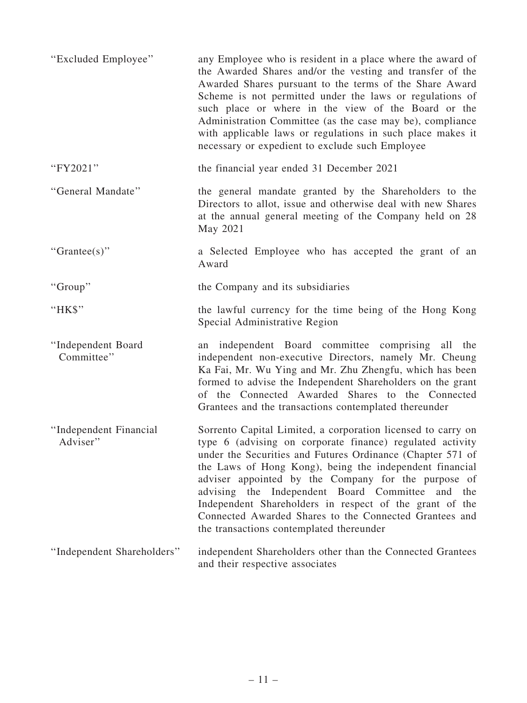| "Excluded Employee"                | any Employee who is resident in a place where the award of<br>the Awarded Shares and/or the vesting and transfer of the<br>Awarded Shares pursuant to the terms of the Share Award<br>Scheme is not permitted under the laws or regulations of<br>such place or where in the view of the Board or the<br>Administration Committee (as the case may be), compliance<br>with applicable laws or regulations in such place makes it<br>necessary or expedient to exclude such Employee                                                  |
|------------------------------------|--------------------------------------------------------------------------------------------------------------------------------------------------------------------------------------------------------------------------------------------------------------------------------------------------------------------------------------------------------------------------------------------------------------------------------------------------------------------------------------------------------------------------------------|
| "FY2021"                           | the financial year ended 31 December 2021                                                                                                                                                                                                                                                                                                                                                                                                                                                                                            |
| "General Mandate"                  | the general mandate granted by the Shareholders to the<br>Directors to allot, issue and otherwise deal with new Shares<br>at the annual general meeting of the Company held on 28<br>May 2021                                                                                                                                                                                                                                                                                                                                        |
| " $Grantee(s)$ "                   | a Selected Employee who has accepted the grant of an<br>Award                                                                                                                                                                                                                                                                                                                                                                                                                                                                        |
| "Group"                            | the Company and its subsidiaries                                                                                                                                                                                                                                                                                                                                                                                                                                                                                                     |
| "HK\$"                             | the lawful currency for the time being of the Hong Kong<br>Special Administrative Region                                                                                                                                                                                                                                                                                                                                                                                                                                             |
| "Independent Board<br>Committee"   | an independent Board committee comprising all the<br>independent non-executive Directors, namely Mr. Cheung<br>Ka Fai, Mr. Wu Ying and Mr. Zhu Zhengfu, which has been<br>formed to advise the Independent Shareholders on the grant<br>of the Connected Awarded Shares to the Connected<br>Grantees and the transactions contemplated thereunder                                                                                                                                                                                    |
| "Independent Financial<br>Adviser" | Sorrento Capital Limited, a corporation licensed to carry on<br>type 6 (advising on corporate finance) regulated activity<br>under the Securities and Futures Ordinance (Chapter 571 of<br>the Laws of Hong Kong), being the independent financial<br>adviser appointed by the Company for the purpose of<br>advising the Independent Board Committee<br>and<br>the<br>Independent Shareholders in respect of the grant of the<br>Connected Awarded Shares to the Connected Grantees and<br>the transactions contemplated thereunder |
| "Independent Shareholders"         | independent Shareholders other than the Connected Grantees<br>and their respective associates                                                                                                                                                                                                                                                                                                                                                                                                                                        |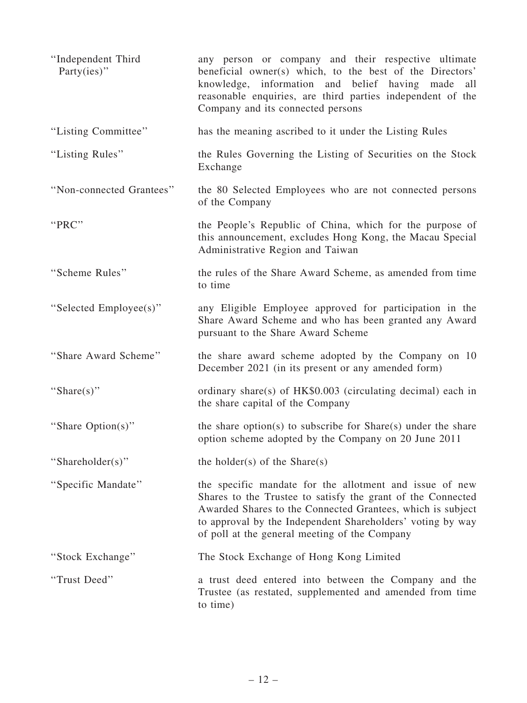| "Independent Third<br>Party(ies)" | any person or company and their respective ultimate<br>beneficial owner(s) which, to the best of the Directors'<br>knowledge, information and belief having made<br>all<br>reasonable enquiries, are third parties independent of the<br>Company and its connected persons                          |
|-----------------------------------|-----------------------------------------------------------------------------------------------------------------------------------------------------------------------------------------------------------------------------------------------------------------------------------------------------|
| "Listing Committee"               | has the meaning ascribed to it under the Listing Rules                                                                                                                                                                                                                                              |
| "Listing Rules"                   | the Rules Governing the Listing of Securities on the Stock<br>Exchange                                                                                                                                                                                                                              |
| "Non-connected Grantees"          | the 80 Selected Employees who are not connected persons<br>of the Company                                                                                                                                                                                                                           |
| "PRC"                             | the People's Republic of China, which for the purpose of<br>this announcement, excludes Hong Kong, the Macau Special<br>Administrative Region and Taiwan                                                                                                                                            |
| "Scheme Rules"                    | the rules of the Share Award Scheme, as amended from time<br>to time                                                                                                                                                                                                                                |
| "Selected Employee(s)"            | any Eligible Employee approved for participation in the<br>Share Award Scheme and who has been granted any Award<br>pursuant to the Share Award Scheme                                                                                                                                              |
| "Share Award Scheme"              | the share award scheme adopted by the Company on 10<br>December 2021 (in its present or any amended form)                                                                                                                                                                                           |
| "Share(s)"                        | ordinary share(s) of $HK$0.003$ (circulating decimal) each in<br>the share capital of the Company                                                                                                                                                                                                   |
| "Share Option(s)"                 | the share option(s) to subscribe for $Share(s)$ under the share<br>option scheme adopted by the Company on 20 June 2011                                                                                                                                                                             |
| "Shareholder(s)"                  | the holder(s) of the $Share(s)$                                                                                                                                                                                                                                                                     |
| "Specific Mandate"                | the specific mandate for the allotment and issue of new<br>Shares to the Trustee to satisfy the grant of the Connected<br>Awarded Shares to the Connected Grantees, which is subject<br>to approval by the Independent Shareholders' voting by way<br>of poll at the general meeting of the Company |
| "Stock Exchange"                  | The Stock Exchange of Hong Kong Limited                                                                                                                                                                                                                                                             |
| "Trust Deed"                      | a trust deed entered into between the Company and the<br>Trustee (as restated, supplemented and amended from time<br>to time)                                                                                                                                                                       |